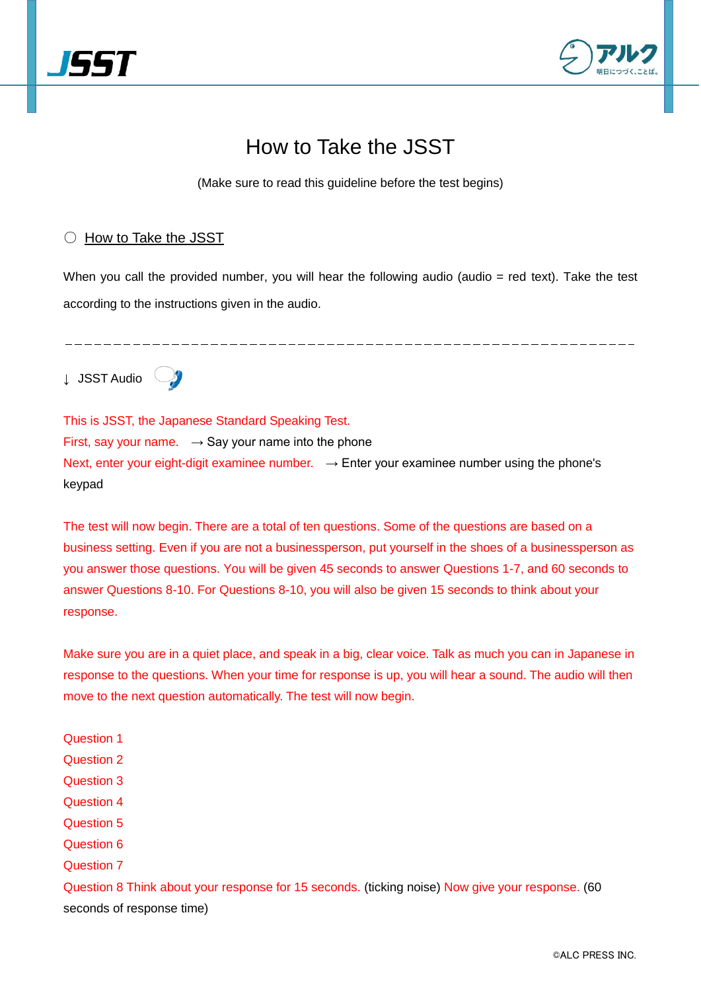



# How to Take the JSST

(Make sure to read this guideline before the test begins)

## ○ How to Take the JSST

When you call the provided number, you will hear the following audio (audio = red text). Take the test according to the instructions given in the audio.

↓ JSST Audio



This is JSST, the Japanese Standard Speaking Test. First, say your name.  $\rightarrow$  Say your name into the phone Next, enter your eight-digit examinee number.  $\rightarrow$  Enter your examinee number using the phone's keypad

The test will now begin. There are a total of ten questions. Some of the questions are based on a business setting. Even if you are not a businessperson, put yourself in the shoes of a businessperson as you answer those questions. You will be given 45 seconds to answer Questions 1-7, and 60 seconds to answer Questions 8-10. For Questions 8-10, you will also be given 15 seconds to think about your response.

Make sure you are in a quiet place, and speak in a big, clear voice. Talk as much you can in Japanese in response to the questions. When your time for response is up, you will hear a sound. The audio will then move to the next question automatically. The test will now begin.

Question 1 Question 2 Question 3 Question 4 Question 5 Question 6 Question 7 Question 8 Think about your response for 15 seconds. (ticking noise) Now give your response. (60 seconds of response time)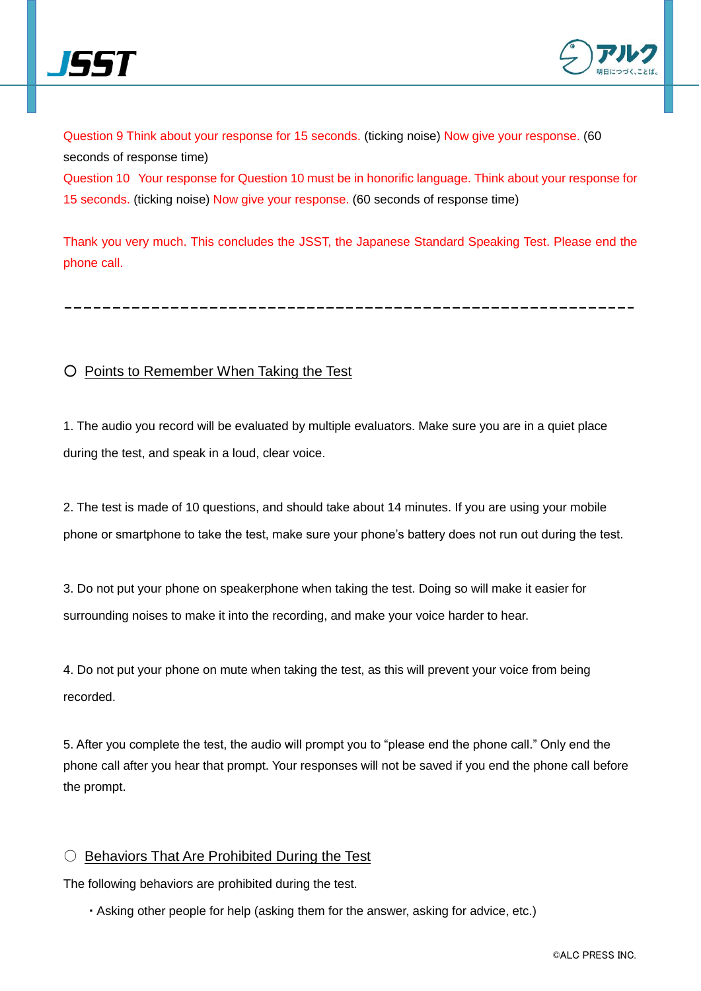



Question 9 Think about your response for 15 seconds. (ticking noise) Now give your response. (60 seconds of response time) Question 10 Your response for Question 10 must be in honorific language. Think about your response for 15 seconds. (ticking noise) Now give your response. (60 seconds of response time)

Thank you very much. This concludes the JSST, the Japanese Standard Speaking Test. Please end the phone call.

## ○ Points to Remember When Taking the Test

1. The audio you record will be evaluated by multiple evaluators. Make sure you are in a quiet place during the test, and speak in a loud, clear voice.

2. The test is made of 10 questions, and should take about 14 minutes. If you are using your mobile phone or smartphone to take the test, make sure your phone's battery does not run out during the test.

3. Do not put your phone on speakerphone when taking the test. Doing so will make it easier for surrounding noises to make it into the recording, and make your voice harder to hear.

4. Do not put your phone on mute when taking the test, as this will prevent your voice from being recorded.

5. After you complete the test, the audio will prompt you to "please end the phone call." Only end the phone call after you hear that prompt. Your responses will not be saved if you end the phone call before the prompt.

### ○ Behaviors That Are Prohibited During the Test

The following behaviors are prohibited during the test.

・ Asking other people for help (asking them for the answer, asking for advice, etc.)